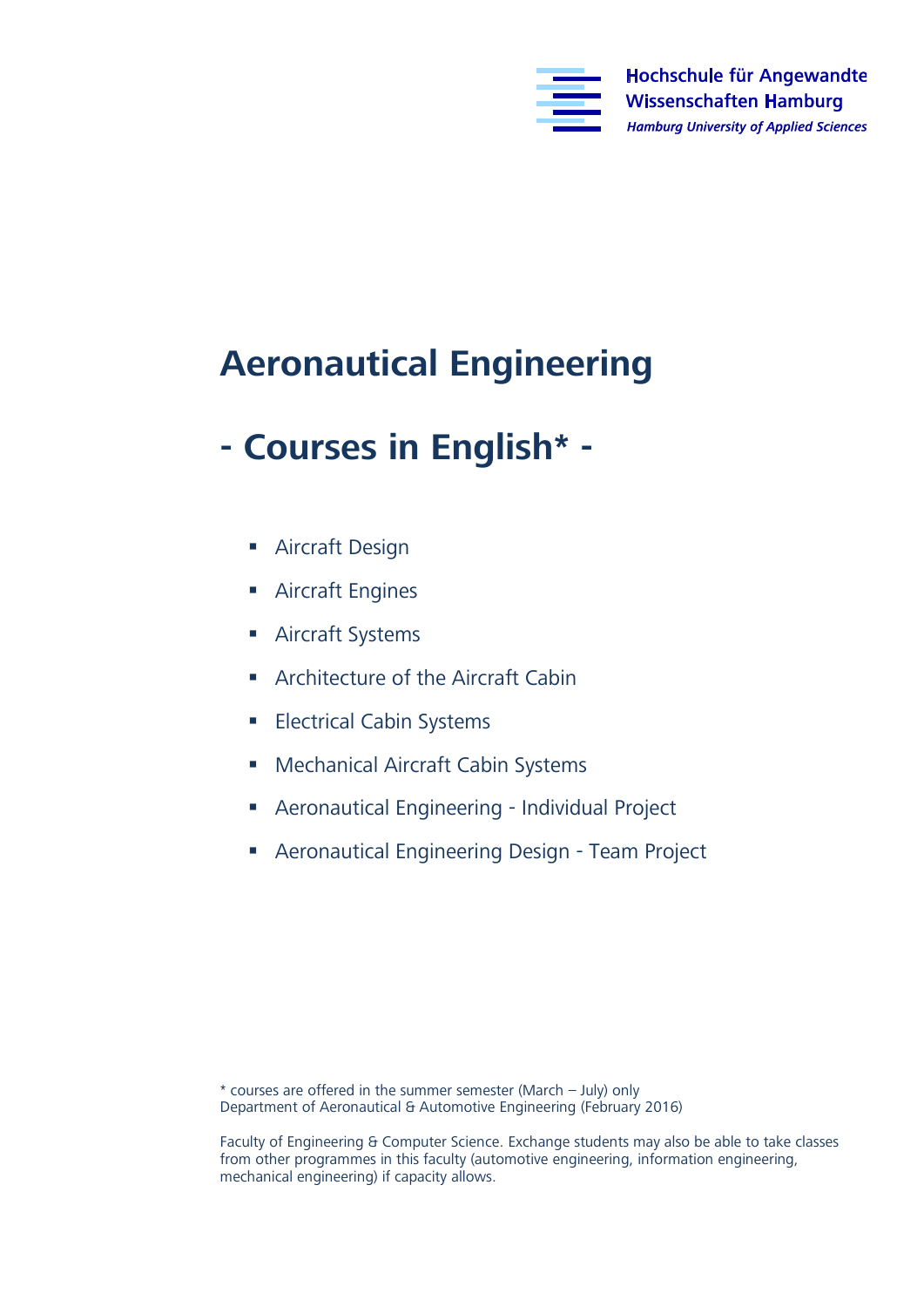

## **Aeronautical Engineering**

## **- Courses in English\* -**

- **Aircraft Design**
- **Aircraft Engines**
- **Aircraft Systems**
- **Architecture of the Aircraft Cabin**
- **Electrical Cabin Systems**
- Mechanical Aircraft Cabin Systems
- Aeronautical Engineering Individual Project
- Aeronautical Engineering Design Team Project

\* courses are offered in the summer semester (March – July) only  $\mathcal{L}_{\mathcal{P}}$  are not at Automotive Engineering (February 2016)

Faculty of Engineering & Computer Science. Exchange students may also be able to take classes from other programmes in this faculty (automotive engineering, information engineering,  $f(x)$  from other programmes in this factor  $f(x)$  and  $f(x)$  and  $f(x)$  and  $f(x)$  and  $f(x)$  and  $f(x)$  and  $f(x)$  and  $f(x)$  and  $f(x)$  and  $f(x)$  and  $f(x)$  and  $f(x)$  and  $f(x)$  and  $f(x)$  and  $f(x)$  and  $f(x)$  and  $f(x)$  and  $f(x)$  an  $m$ echanical engineering) if capacity allows.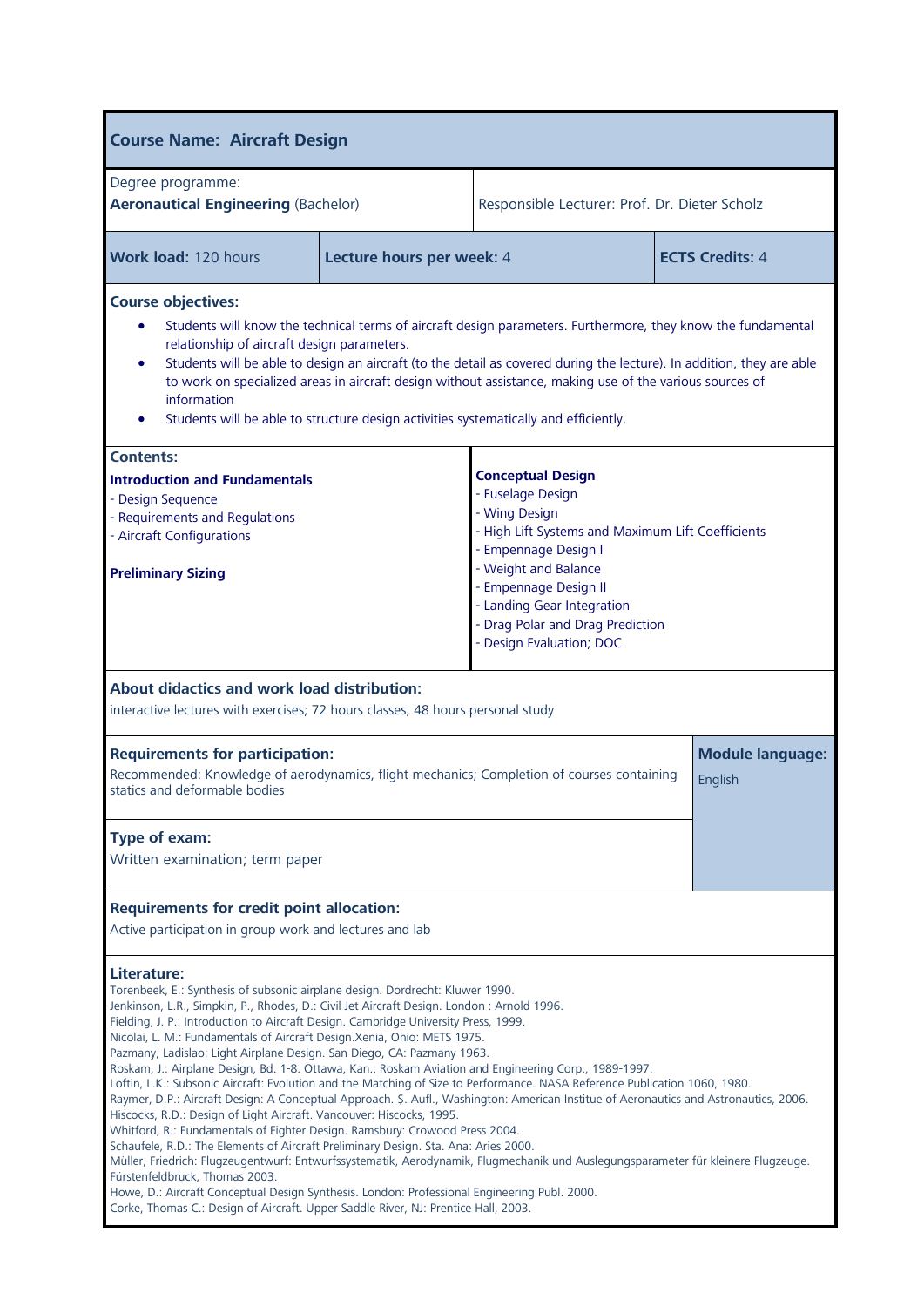| <b>Course Name: Aircraft Design</b>                                                                                                                                                                                                                                                                                                                                                                                                                                                                                                                                                                                                                                                                                                                                                                                                                                                                                                                                                                                                                                                                                                                                                                                                                                                                                                                                                                                                |                           |                                               |  |                                    |
|------------------------------------------------------------------------------------------------------------------------------------------------------------------------------------------------------------------------------------------------------------------------------------------------------------------------------------------------------------------------------------------------------------------------------------------------------------------------------------------------------------------------------------------------------------------------------------------------------------------------------------------------------------------------------------------------------------------------------------------------------------------------------------------------------------------------------------------------------------------------------------------------------------------------------------------------------------------------------------------------------------------------------------------------------------------------------------------------------------------------------------------------------------------------------------------------------------------------------------------------------------------------------------------------------------------------------------------------------------------------------------------------------------------------------------|---------------------------|-----------------------------------------------|--|------------------------------------|
| Degree programme:<br><b>Aeronautical Engineering (Bachelor)</b>                                                                                                                                                                                                                                                                                                                                                                                                                                                                                                                                                                                                                                                                                                                                                                                                                                                                                                                                                                                                                                                                                                                                                                                                                                                                                                                                                                    |                           | Responsible Lecturer: Prof. Dr. Dieter Scholz |  |                                    |
| Work load: 120 hours                                                                                                                                                                                                                                                                                                                                                                                                                                                                                                                                                                                                                                                                                                                                                                                                                                                                                                                                                                                                                                                                                                                                                                                                                                                                                                                                                                                                               | Lecture hours per week: 4 | <b>ECTS Credits: 4</b>                        |  |                                    |
| <b>Course objectives:</b><br>Students will know the technical terms of aircraft design parameters. Furthermore, they know the fundamental<br>relationship of aircraft design parameters.<br>Students will be able to design an aircraft (to the detail as covered during the lecture). In addition, they are able<br>to work on specialized areas in aircraft design without assistance, making use of the various sources of<br>information<br>Students will be able to structure design activities systematically and efficiently.                                                                                                                                                                                                                                                                                                                                                                                                                                                                                                                                                                                                                                                                                                                                                                                                                                                                                               |                           |                                               |  |                                    |
| <b>Contents:</b><br><b>Conceptual Design</b><br><b>Introduction and Fundamentals</b><br>- Fuselage Design<br>- Design Sequence<br>- Wing Design<br>- Requirements and Regulations<br>- High Lift Systems and Maximum Lift Coefficients<br>- Aircraft Configurations<br>- Empennage Design I<br>- Weight and Balance<br><b>Preliminary Sizing</b><br>- Empennage Design II<br>- Landing Gear Integration<br>- Drag Polar and Drag Prediction<br>Design Evaluation; DOC                                                                                                                                                                                                                                                                                                                                                                                                                                                                                                                                                                                                                                                                                                                                                                                                                                                                                                                                                              |                           |                                               |  |                                    |
| About didactics and work load distribution:<br>interactive lectures with exercises; 72 hours classes, 48 hours personal study                                                                                                                                                                                                                                                                                                                                                                                                                                                                                                                                                                                                                                                                                                                                                                                                                                                                                                                                                                                                                                                                                                                                                                                                                                                                                                      |                           |                                               |  |                                    |
| <b>Requirements for participation:</b><br>Recommended: Knowledge of aerodynamics, flight mechanics; Completion of courses containing<br>statics and deformable bodies                                                                                                                                                                                                                                                                                                                                                                                                                                                                                                                                                                                                                                                                                                                                                                                                                                                                                                                                                                                                                                                                                                                                                                                                                                                              |                           |                                               |  | <b>Module language:</b><br>English |
| Type of exam:<br>Written examination; term paper                                                                                                                                                                                                                                                                                                                                                                                                                                                                                                                                                                                                                                                                                                                                                                                                                                                                                                                                                                                                                                                                                                                                                                                                                                                                                                                                                                                   |                           |                                               |  |                                    |
| <b>Requirements for credit point allocation:</b><br>Active participation in group work and lectures and lab                                                                                                                                                                                                                                                                                                                                                                                                                                                                                                                                                                                                                                                                                                                                                                                                                                                                                                                                                                                                                                                                                                                                                                                                                                                                                                                        |                           |                                               |  |                                    |
| Literature:<br>Torenbeek, E.: Synthesis of subsonic airplane design. Dordrecht: Kluwer 1990.<br>Jenkinson, L.R., Simpkin, P., Rhodes, D.: Civil Jet Aircraft Design. London : Arnold 1996.<br>Fielding, J. P.: Introduction to Aircraft Design. Cambridge University Press, 1999.<br>Nicolai, L. M.: Fundamentals of Aircraft Design. Xenia, Ohio: METS 1975.<br>Pazmany, Ladislao: Light Airplane Design. San Diego, CA: Pazmany 1963.<br>Roskam, J.: Airplane Design, Bd. 1-8. Ottawa, Kan.: Roskam Aviation and Engineering Corp., 1989-1997.<br>Loftin, L.K.: Subsonic Aircraft: Evolution and the Matching of Size to Performance. NASA Reference Publication 1060, 1980.<br>Raymer, D.P.: Aircraft Design: A Conceptual Approach. \$. Aufl., Washington: American Institue of Aeronautics and Astronautics, 2006.<br>Hiscocks, R.D.: Design of Light Aircraft. Vancouver: Hiscocks, 1995.<br>Whitford, R.: Fundamentals of Fighter Design. Ramsbury: Crowood Press 2004.<br>Schaufele, R.D.: The Elements of Aircraft Preliminary Design. Sta. Ana: Aries 2000.<br>Müller, Friedrich: Flugzeugentwurf: Entwurfssystematik, Aerodynamik, Flugmechanik und Auslegungsparameter für kleinere Flugzeuge.<br>Fürstenfeldbruck, Thomas 2003.<br>Howe, D.: Aircraft Conceptual Design Synthesis. London: Professional Engineering Publ. 2000.<br>Corke, Thomas C.: Design of Aircraft. Upper Saddle River, NJ: Prentice Hall, 2003. |                           |                                               |  |                                    |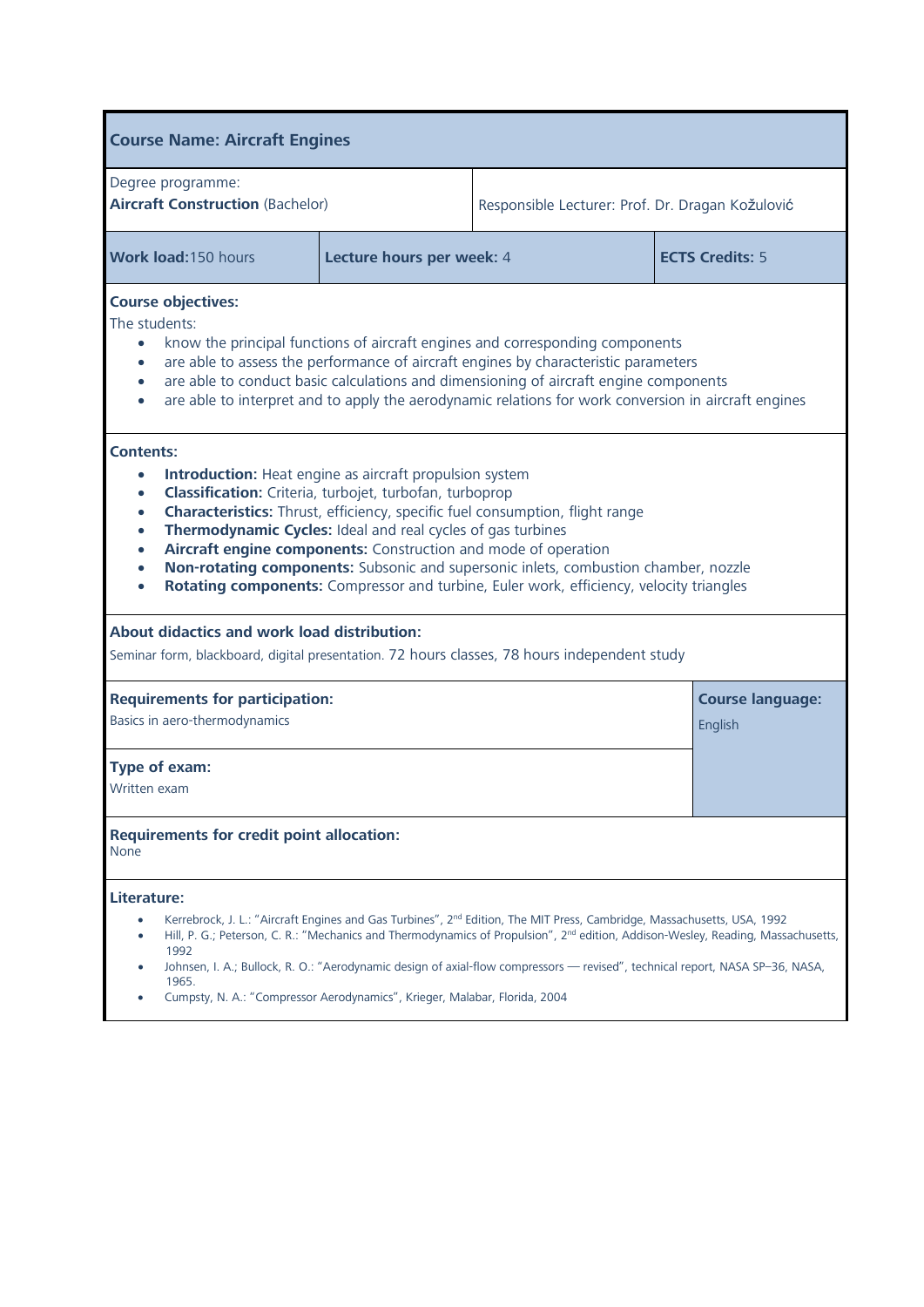| <b>Course Name: Aircraft Engines</b>                                                                                                                                                                                                                                                                                                                                                                                                                                                                                                                                                                                                               |                           |                                                                                                                                                                                                                                                                                                                                                                                                                      |  |                                    |
|----------------------------------------------------------------------------------------------------------------------------------------------------------------------------------------------------------------------------------------------------------------------------------------------------------------------------------------------------------------------------------------------------------------------------------------------------------------------------------------------------------------------------------------------------------------------------------------------------------------------------------------------------|---------------------------|----------------------------------------------------------------------------------------------------------------------------------------------------------------------------------------------------------------------------------------------------------------------------------------------------------------------------------------------------------------------------------------------------------------------|--|------------------------------------|
| Degree programme:<br><b>Aircraft Construction (Bachelor)</b>                                                                                                                                                                                                                                                                                                                                                                                                                                                                                                                                                                                       |                           | Responsible Lecturer: Prof. Dr. Dragan Kožulović                                                                                                                                                                                                                                                                                                                                                                     |  |                                    |
| Work load:150 hours                                                                                                                                                                                                                                                                                                                                                                                                                                                                                                                                                                                                                                | Lecture hours per week: 4 | <b>ECTS Credits: 5</b>                                                                                                                                                                                                                                                                                                                                                                                               |  |                                    |
| <b>Course objectives:</b><br>The students:<br>know the principal functions of aircraft engines and corresponding components<br>$\bullet$<br>are able to assess the performance of aircraft engines by characteristic parameters<br>$\bullet$<br>are able to conduct basic calculations and dimensioning of aircraft engine components<br>$\bullet$<br>are able to interpret and to apply the aerodynamic relations for work conversion in aircraft engines<br>$\bullet$                                                                                                                                                                            |                           |                                                                                                                                                                                                                                                                                                                                                                                                                      |  |                                    |
| <b>Contents:</b><br><b>Introduction:</b> Heat engine as aircraft propulsion system<br>$\bullet$<br>Classification: Criteria, turbojet, turbofan, turboprop<br>$\bullet$<br><b>Characteristics:</b> Thrust, efficiency, specific fuel consumption, flight range<br>$\bullet$<br>Thermodynamic Cycles: Ideal and real cycles of gas turbines<br>$\bullet$<br>Aircraft engine components: Construction and mode of operation<br>$\bullet$<br>Non-rotating components: Subsonic and supersonic inlets, combustion chamber, nozzle<br>$\bullet$<br>Rotating components: Compressor and turbine, Euler work, efficiency, velocity triangles<br>$\bullet$ |                           |                                                                                                                                                                                                                                                                                                                                                                                                                      |  |                                    |
| About didactics and work load distribution:<br>Seminar form, blackboard, digital presentation. 72 hours classes, 78 hours independent study                                                                                                                                                                                                                                                                                                                                                                                                                                                                                                        |                           |                                                                                                                                                                                                                                                                                                                                                                                                                      |  |                                    |
| <b>Requirements for participation:</b><br>Basics in aero-thermodynamics                                                                                                                                                                                                                                                                                                                                                                                                                                                                                                                                                                            |                           |                                                                                                                                                                                                                                                                                                                                                                                                                      |  | <b>Course language:</b><br>English |
| Type of exam:<br>Written exam                                                                                                                                                                                                                                                                                                                                                                                                                                                                                                                                                                                                                      |                           |                                                                                                                                                                                                                                                                                                                                                                                                                      |  |                                    |
| <b>Requirements for credit point allocation:</b><br>None                                                                                                                                                                                                                                                                                                                                                                                                                                                                                                                                                                                           |                           |                                                                                                                                                                                                                                                                                                                                                                                                                      |  |                                    |
| Literature:<br>٠<br>1992<br>1965.<br>Cumpsty, N. A.: "Compressor Aerodynamics", Krieger, Malabar, Florida, 2004                                                                                                                                                                                                                                                                                                                                                                                                                                                                                                                                    |                           | Kerrebrock, J. L.: "Aircraft Engines and Gas Turbines", 2 <sup>nd</sup> Edition, The MIT Press, Cambridge, Massachusetts, USA, 1992<br>Hill, P. G.; Peterson, C. R.: "Mechanics and Thermodynamics of Propulsion", 2 <sup>nd</sup> edition, Addison-Wesley, Reading, Massachusetts,<br>Johnsen, I. A.; Bullock, R. O.: "Aerodynamic design of axial-flow compressors — revised", technical report, NASA SP-36, NASA, |  |                                    |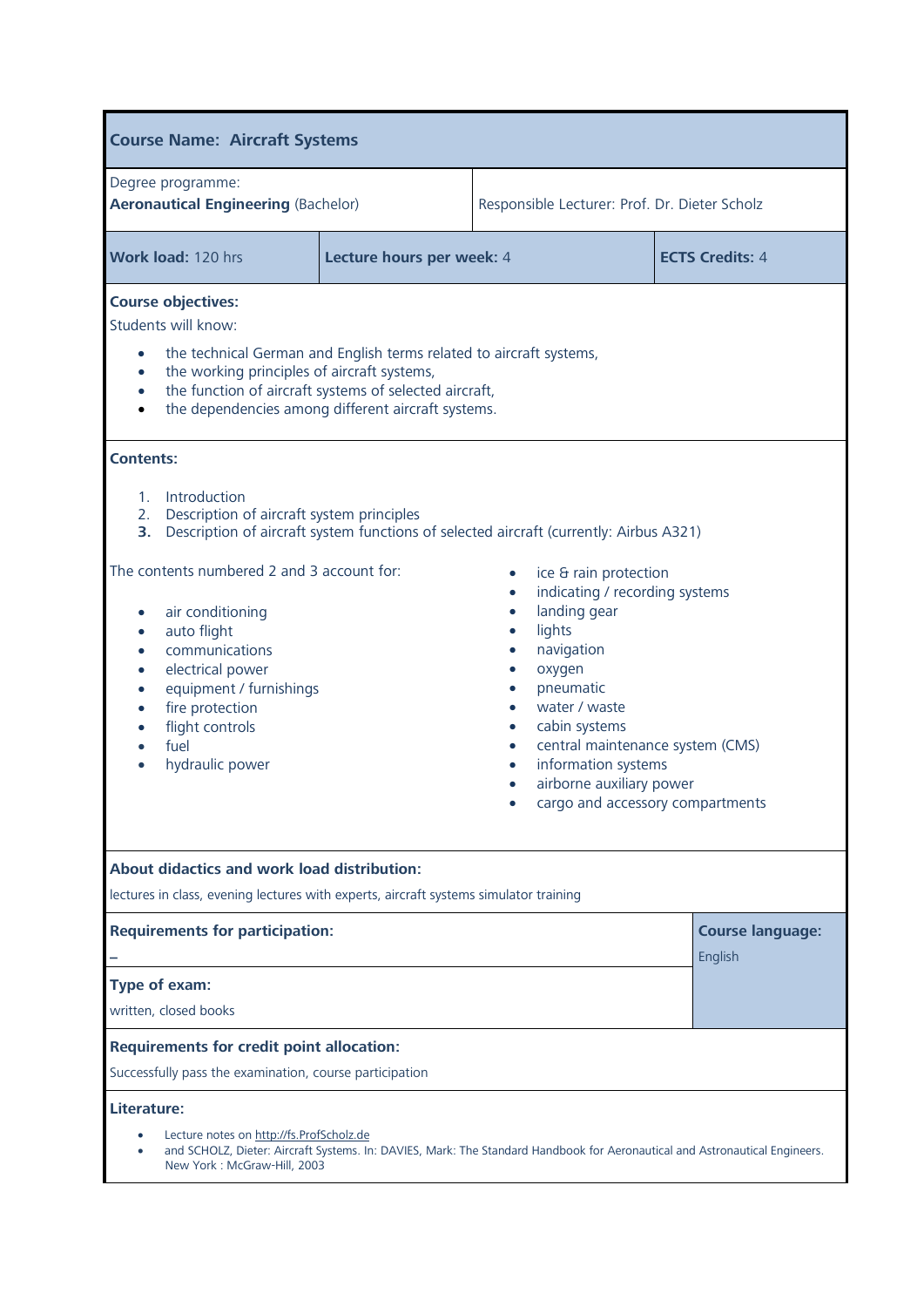| <b>Course Name: Aircraft Systems</b>                                                                                                                                                                                                                                                                                                                                                                                                                                                    |                           |                                                                                                                                                                                                                                                                                     |                                    |  |
|-----------------------------------------------------------------------------------------------------------------------------------------------------------------------------------------------------------------------------------------------------------------------------------------------------------------------------------------------------------------------------------------------------------------------------------------------------------------------------------------|---------------------------|-------------------------------------------------------------------------------------------------------------------------------------------------------------------------------------------------------------------------------------------------------------------------------------|------------------------------------|--|
| Degree programme:<br><b>Aeronautical Engineering (Bachelor)</b>                                                                                                                                                                                                                                                                                                                                                                                                                         |                           | Responsible Lecturer: Prof. Dr. Dieter Scholz                                                                                                                                                                                                                                       |                                    |  |
| Work load: 120 hrs                                                                                                                                                                                                                                                                                                                                                                                                                                                                      | Lecture hours per week: 4 | <b>ECTS Credits: 4</b>                                                                                                                                                                                                                                                              |                                    |  |
| <b>Course objectives:</b><br>Students will know:<br>the technical German and English terms related to aircraft systems,<br>$\bullet$<br>the working principles of aircraft systems,<br>$\bullet$<br>the function of aircraft systems of selected aircraft,<br>$\bullet$<br>the dependencies among different aircraft systems.<br>$\bullet$                                                                                                                                              |                           |                                                                                                                                                                                                                                                                                     |                                    |  |
| <b>Contents:</b><br>Introduction<br>1.<br>Description of aircraft system principles<br>2.<br>3. Description of aircraft system functions of selected aircraft (currently: Airbus A321)<br>The contents numbered 2 and 3 account for:<br>air conditioning<br>auto flight<br>$\bullet$<br>communications<br>$\bullet$<br>electrical power<br>$\bullet$<br>equipment / furnishings<br>$\bullet$<br>fire protection<br>$\bullet$<br>flight controls<br>$\bullet$<br>fuel<br>hydraulic power |                           | ice & rain protection<br>indicating / recording systems<br>landing gear<br>lights<br>navigation<br>oxygen<br>pneumatic<br>water / waste<br>cabin systems<br>central maintenance system (CMS)<br>information systems<br>airborne auxiliary power<br>cargo and accessory compartments |                                    |  |
| About didactics and work load distribution:<br>lectures in class, evening lectures with experts, aircraft systems simulator training                                                                                                                                                                                                                                                                                                                                                    |                           |                                                                                                                                                                                                                                                                                     |                                    |  |
| <b>Requirements for participation:</b>                                                                                                                                                                                                                                                                                                                                                                                                                                                  |                           |                                                                                                                                                                                                                                                                                     | <b>Course language:</b><br>English |  |
| Type of exam:<br>written, closed books                                                                                                                                                                                                                                                                                                                                                                                                                                                  |                           |                                                                                                                                                                                                                                                                                     |                                    |  |
| <b>Requirements for credit point allocation:</b><br>Successfully pass the examination, course participation                                                                                                                                                                                                                                                                                                                                                                             |                           |                                                                                                                                                                                                                                                                                     |                                    |  |
| Literature:<br>Lecture notes on http://fs.ProfScholz.de<br>New York: McGraw-Hill, 2003                                                                                                                                                                                                                                                                                                                                                                                                  |                           | and SCHOLZ, Dieter: Aircraft Systems. In: DAVIES, Mark: The Standard Handbook for Aeronautical and Astronautical Engineers.                                                                                                                                                         |                                    |  |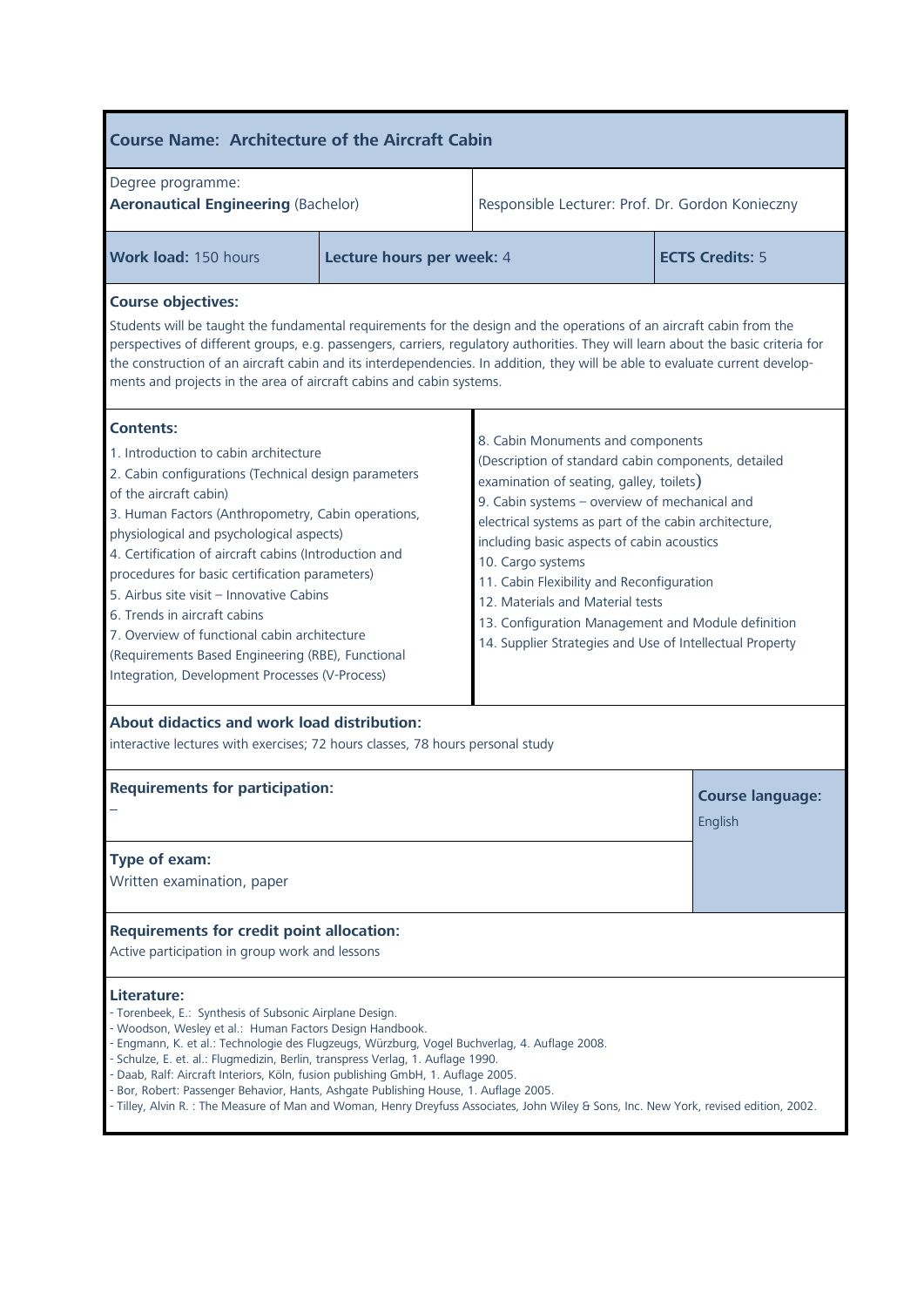| <b>Course Name: Architecture of the Aircraft Cabin</b>                                                                                                                                                                                                                                                                                                                                                                                                                                                                                                                                                                                                                                                                                                                                                                                                                                                                                                                                                                                                                                                              |                           |                                                                                                                                        |  |  |
|---------------------------------------------------------------------------------------------------------------------------------------------------------------------------------------------------------------------------------------------------------------------------------------------------------------------------------------------------------------------------------------------------------------------------------------------------------------------------------------------------------------------------------------------------------------------------------------------------------------------------------------------------------------------------------------------------------------------------------------------------------------------------------------------------------------------------------------------------------------------------------------------------------------------------------------------------------------------------------------------------------------------------------------------------------------------------------------------------------------------|---------------------------|----------------------------------------------------------------------------------------------------------------------------------------|--|--|
| Degree programme:<br><b>Aeronautical Engineering (Bachelor)</b>                                                                                                                                                                                                                                                                                                                                                                                                                                                                                                                                                                                                                                                                                                                                                                                                                                                                                                                                                                                                                                                     |                           | Responsible Lecturer: Prof. Dr. Gordon Konieczny                                                                                       |  |  |
| Work load: 150 hours                                                                                                                                                                                                                                                                                                                                                                                                                                                                                                                                                                                                                                                                                                                                                                                                                                                                                                                                                                                                                                                                                                | Lecture hours per week: 4 | <b>ECTS Credits: 5</b>                                                                                                                 |  |  |
| <b>Course objectives:</b><br>Students will be taught the fundamental requirements for the design and the operations of an aircraft cabin from the<br>perspectives of different groups, e.g. passengers, carriers, regulatory authorities. They will learn about the basic criteria for<br>the construction of an aircraft cabin and its interdependencies. In addition, they will be able to evaluate current develop-<br>ments and projects in the area of aircraft cabins and cabin systems.                                                                                                                                                                                                                                                                                                                                                                                                                                                                                                                                                                                                                      |                           |                                                                                                                                        |  |  |
| <b>Contents:</b><br>8. Cabin Monuments and components<br>1. Introduction to cabin architecture<br>(Description of standard cabin components, detailed<br>2. Cabin configurations (Technical design parameters<br>examination of seating, galley, toilets)<br>of the aircraft cabin)<br>9. Cabin systems - overview of mechanical and<br>3. Human Factors (Anthropometry, Cabin operations,<br>electrical systems as part of the cabin architecture,<br>physiological and psychological aspects)<br>including basic aspects of cabin acoustics<br>4. Certification of aircraft cabins (Introduction and<br>10. Cargo systems<br>procedures for basic certification parameters)<br>11. Cabin Flexibility and Reconfiguration<br>5. Airbus site visit - Innovative Cabins<br>12. Materials and Material tests<br>6. Trends in aircraft cabins<br>13. Configuration Management and Module definition<br>7. Overview of functional cabin architecture<br>14. Supplier Strategies and Use of Intellectual Property<br>(Requirements Based Engineering (RBE), Functional<br>Integration, Development Processes (V-Process) |                           |                                                                                                                                        |  |  |
| About didactics and work load distribution:<br>interactive lectures with exercises; 72 hours classes, 78 hours personal study                                                                                                                                                                                                                                                                                                                                                                                                                                                                                                                                                                                                                                                                                                                                                                                                                                                                                                                                                                                       |                           |                                                                                                                                        |  |  |
| <b>Requirements for participation:</b>                                                                                                                                                                                                                                                                                                                                                                                                                                                                                                                                                                                                                                                                                                                                                                                                                                                                                                                                                                                                                                                                              |                           | <b>Course language:</b><br>English                                                                                                     |  |  |
| Type of exam:<br>Written examination, paper                                                                                                                                                                                                                                                                                                                                                                                                                                                                                                                                                                                                                                                                                                                                                                                                                                                                                                                                                                                                                                                                         |                           |                                                                                                                                        |  |  |
| <b>Requirements for credit point allocation:</b><br>Active participation in group work and lessons                                                                                                                                                                                                                                                                                                                                                                                                                                                                                                                                                                                                                                                                                                                                                                                                                                                                                                                                                                                                                  |                           |                                                                                                                                        |  |  |
| Literature:<br>- Torenbeek, E.: Synthesis of Subsonic Airplane Design.<br>- Woodson, Wesley et al.: Human Factors Design Handbook.<br>Engmann, K. et al.: Technologie des Flugzeugs, Würzburg, Vogel Buchverlag, 4. Auflage 2008.<br>- Schulze, E. et. al.: Flugmedizin, Berlin, transpress Verlag, 1. Auflage 1990.<br>Daab, Ralf: Aircraft Interiors, Köln, fusion publishing GmbH, 1. Auflage 2005.<br>Bor, Robert: Passenger Behavior, Hants, Ashgate Publishing House, 1. Auflage 2005.                                                                                                                                                                                                                                                                                                                                                                                                                                                                                                                                                                                                                        |                           | - Tilley, Alvin R. : The Measure of Man and Woman, Henry Dreyfuss Associates, John Wiley & Sons, Inc. New York, revised edition, 2002. |  |  |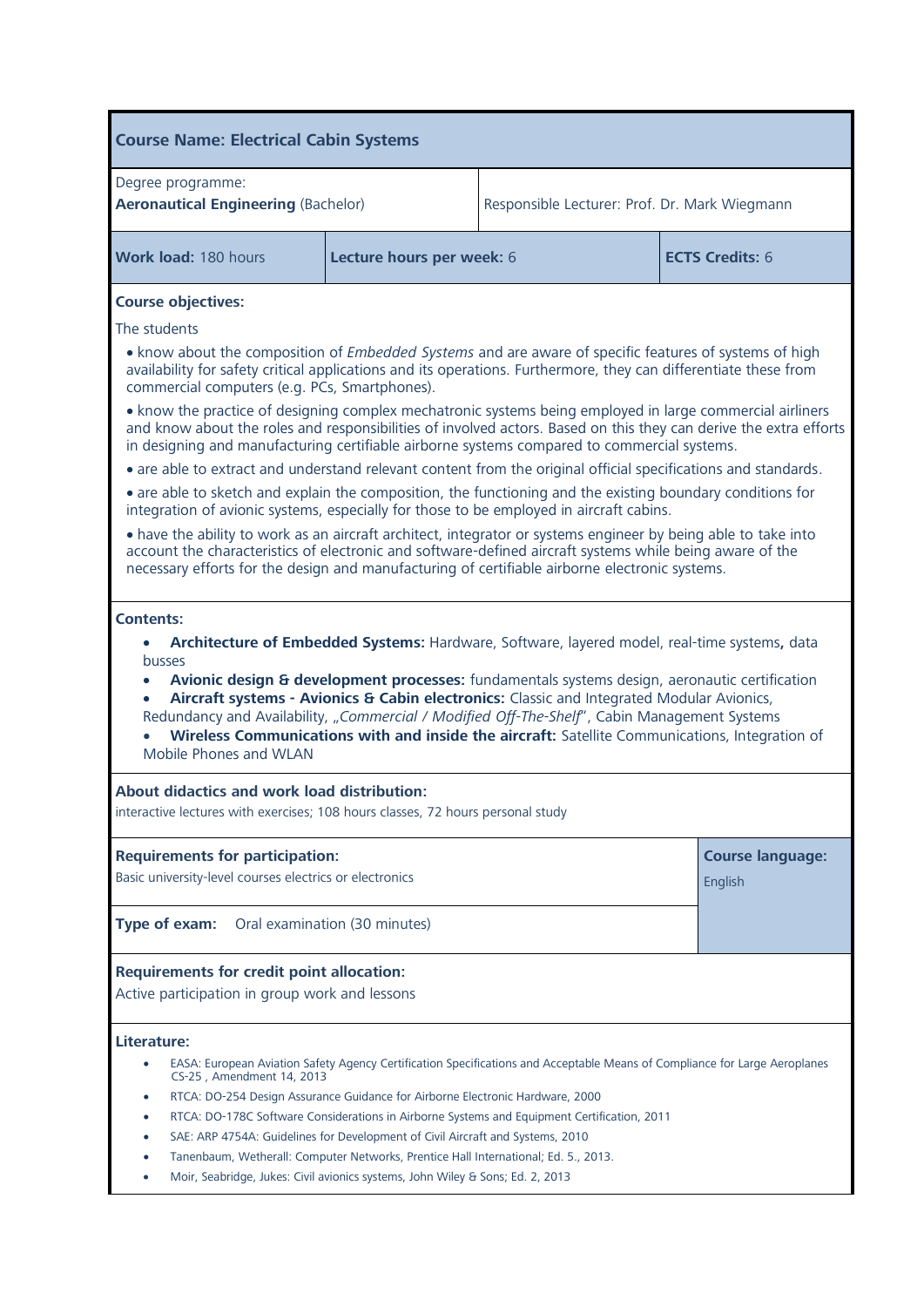| <b>Course Name: Electrical Cabin Systems</b>                                                                                                                                                                                                                                                                                                                                         |                               |                                                                                                                                                                                                                                                                                                                                                                                              |                                    |  |
|--------------------------------------------------------------------------------------------------------------------------------------------------------------------------------------------------------------------------------------------------------------------------------------------------------------------------------------------------------------------------------------|-------------------------------|----------------------------------------------------------------------------------------------------------------------------------------------------------------------------------------------------------------------------------------------------------------------------------------------------------------------------------------------------------------------------------------------|------------------------------------|--|
| Degree programme:<br><b>Aeronautical Engineering (Bachelor)</b>                                                                                                                                                                                                                                                                                                                      |                               | Responsible Lecturer: Prof. Dr. Mark Wiegmann                                                                                                                                                                                                                                                                                                                                                |                                    |  |
| Work load: 180 hours                                                                                                                                                                                                                                                                                                                                                                 | Lecture hours per week: 6     | <b>ECTS Credits: 6</b>                                                                                                                                                                                                                                                                                                                                                                       |                                    |  |
| <b>Course objectives:</b>                                                                                                                                                                                                                                                                                                                                                            |                               |                                                                                                                                                                                                                                                                                                                                                                                              |                                    |  |
| The students                                                                                                                                                                                                                                                                                                                                                                         |                               |                                                                                                                                                                                                                                                                                                                                                                                              |                                    |  |
| . know about the composition of <i>Embedded Systems</i> and are aware of specific features of systems of high<br>availability for safety critical applications and its operations. Furthermore, they can differentiate these from<br>commercial computers (e.g. PCs, Smartphones).                                                                                                   |                               |                                                                                                                                                                                                                                                                                                                                                                                              |                                    |  |
| • know the practice of designing complex mechatronic systems being employed in large commercial airliners<br>and know about the roles and responsibilities of involved actors. Based on this they can derive the extra efforts<br>in designing and manufacturing certifiable airborne systems compared to commercial systems.                                                        |                               |                                                                                                                                                                                                                                                                                                                                                                                              |                                    |  |
| • are able to extract and understand relevant content from the original official specifications and standards.                                                                                                                                                                                                                                                                       |                               |                                                                                                                                                                                                                                                                                                                                                                                              |                                    |  |
| • are able to sketch and explain the composition, the functioning and the existing boundary conditions for<br>integration of avionic systems, especially for those to be employed in aircraft cabins.                                                                                                                                                                                |                               |                                                                                                                                                                                                                                                                                                                                                                                              |                                    |  |
| • have the ability to work as an aircraft architect, integrator or systems engineer by being able to take into<br>account the characteristics of electronic and software-defined aircraft systems while being aware of the<br>necessary efforts for the design and manufacturing of certifiable airborne electronic systems.                                                         |                               |                                                                                                                                                                                                                                                                                                                                                                                              |                                    |  |
| busses<br>$\bullet$<br>$\bullet$<br>Mobile Phones and WLAN<br>About didactics and work load distribution:                                                                                                                                                                                                                                                                            |                               | Avionic design & development processes: fundamentals systems design, aeronautic certification<br>Aircraft systems - Avionics & Cabin electronics: Classic and Integrated Modular Avionics,<br>Redundancy and Availability, "Commercial / Modified Off-The-Shelf", Cabin Management Systems<br>Wireless Communications with and inside the aircraft: Satellite Communications, Integration of |                                    |  |
| interactive lectures with exercises; 108 hours classes, 72 hours personal study                                                                                                                                                                                                                                                                                                      |                               |                                                                                                                                                                                                                                                                                                                                                                                              |                                    |  |
| <b>Requirements for participation:</b><br>Basic university-level courses electrics or electronics                                                                                                                                                                                                                                                                                    |                               |                                                                                                                                                                                                                                                                                                                                                                                              | <b>Course language:</b><br>English |  |
| Type of exam:                                                                                                                                                                                                                                                                                                                                                                        | Oral examination (30 minutes) |                                                                                                                                                                                                                                                                                                                                                                                              |                                    |  |
| <b>Requirements for credit point allocation:</b><br>Active participation in group work and lessons                                                                                                                                                                                                                                                                                   |                               |                                                                                                                                                                                                                                                                                                                                                                                              |                                    |  |
| Literature:<br>CS-25, Amendment 14, 2013<br>RTCA: DO-254 Design Assurance Guidance for Airborne Electronic Hardware, 2000<br>SAE: ARP 4754A: Guidelines for Development of Civil Aircraft and Systems, 2010<br>Tanenbaum, Wetherall: Computer Networks, Prentice Hall International; Ed. 5., 2013.<br>Moir, Seabridge, Jukes: Civil avionics systems, John Wiley & Sons; Ed. 2, 2013 |                               | EASA: European Aviation Safety Agency Certification Specifications and Acceptable Means of Compliance for Large Aeroplanes<br>RTCA: DO-178C Software Considerations in Airborne Systems and Equipment Certification, 2011                                                                                                                                                                    |                                    |  |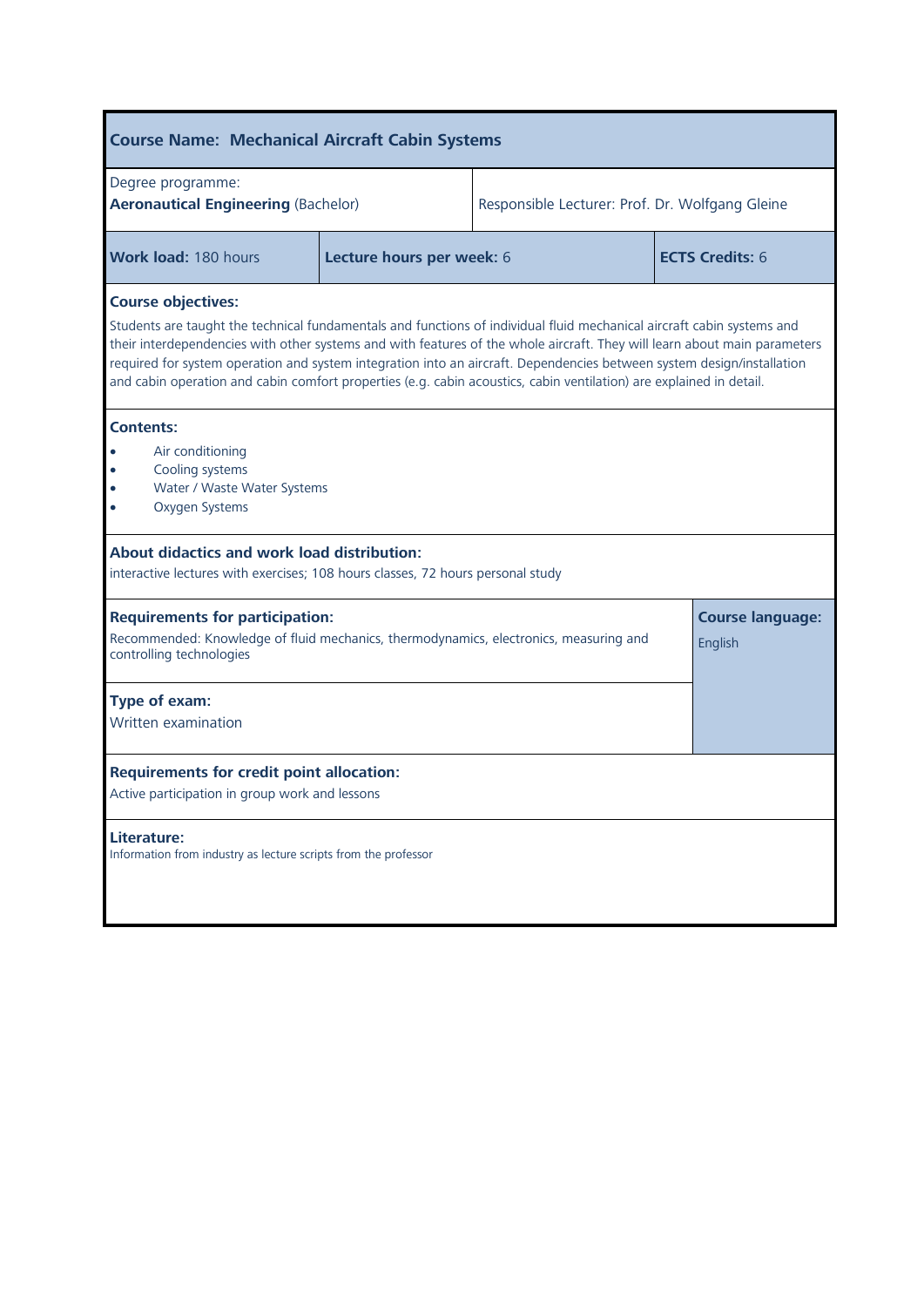| <b>Course Name: Mechanical Aircraft Cabin Systems</b>                                                                                                                                                                                                                                                                                                                                                                                                                                                                             |                           |                                                 |                                    |  |
|-----------------------------------------------------------------------------------------------------------------------------------------------------------------------------------------------------------------------------------------------------------------------------------------------------------------------------------------------------------------------------------------------------------------------------------------------------------------------------------------------------------------------------------|---------------------------|-------------------------------------------------|------------------------------------|--|
| Degree programme:<br><b>Aeronautical Engineering (Bachelor)</b>                                                                                                                                                                                                                                                                                                                                                                                                                                                                   |                           | Responsible Lecturer: Prof. Dr. Wolfgang Gleine |                                    |  |
| <b>Work load: 180 hours</b>                                                                                                                                                                                                                                                                                                                                                                                                                                                                                                       | Lecture hours per week: 6 | <b>ECTS Credits: 6</b>                          |                                    |  |
| <b>Course objectives:</b><br>Students are taught the technical fundamentals and functions of individual fluid mechanical aircraft cabin systems and<br>their interdependencies with other systems and with features of the whole aircraft. They will learn about main parameters<br>required for system operation and system integration into an aircraft. Dependencies between system design/installation<br>and cabin operation and cabin comfort properties (e.g. cabin acoustics, cabin ventilation) are explained in detail. |                           |                                                 |                                    |  |
| <b>Contents:</b><br>Air conditioning<br>$\bullet$<br>Cooling systems<br>$\bullet$<br>Water / Waste Water Systems<br>ò<br>Oxygen Systems<br>ò                                                                                                                                                                                                                                                                                                                                                                                      |                           |                                                 |                                    |  |
| <b>About didactics and work load distribution:</b><br>interactive lectures with exercises; 108 hours classes, 72 hours personal study                                                                                                                                                                                                                                                                                                                                                                                             |                           |                                                 |                                    |  |
| <b>Requirements for participation:</b><br>Recommended: Knowledge of fluid mechanics, thermodynamics, electronics, measuring and<br>controlling technologies                                                                                                                                                                                                                                                                                                                                                                       |                           |                                                 | <b>Course language:</b><br>English |  |
| Type of exam:<br>Written examination                                                                                                                                                                                                                                                                                                                                                                                                                                                                                              |                           |                                                 |                                    |  |
| <b>Requirements for credit point allocation:</b><br>Active participation in group work and lessons                                                                                                                                                                                                                                                                                                                                                                                                                                |                           |                                                 |                                    |  |
| Literature:<br>Information from industry as lecture scripts from the professor                                                                                                                                                                                                                                                                                                                                                                                                                                                    |                           |                                                 |                                    |  |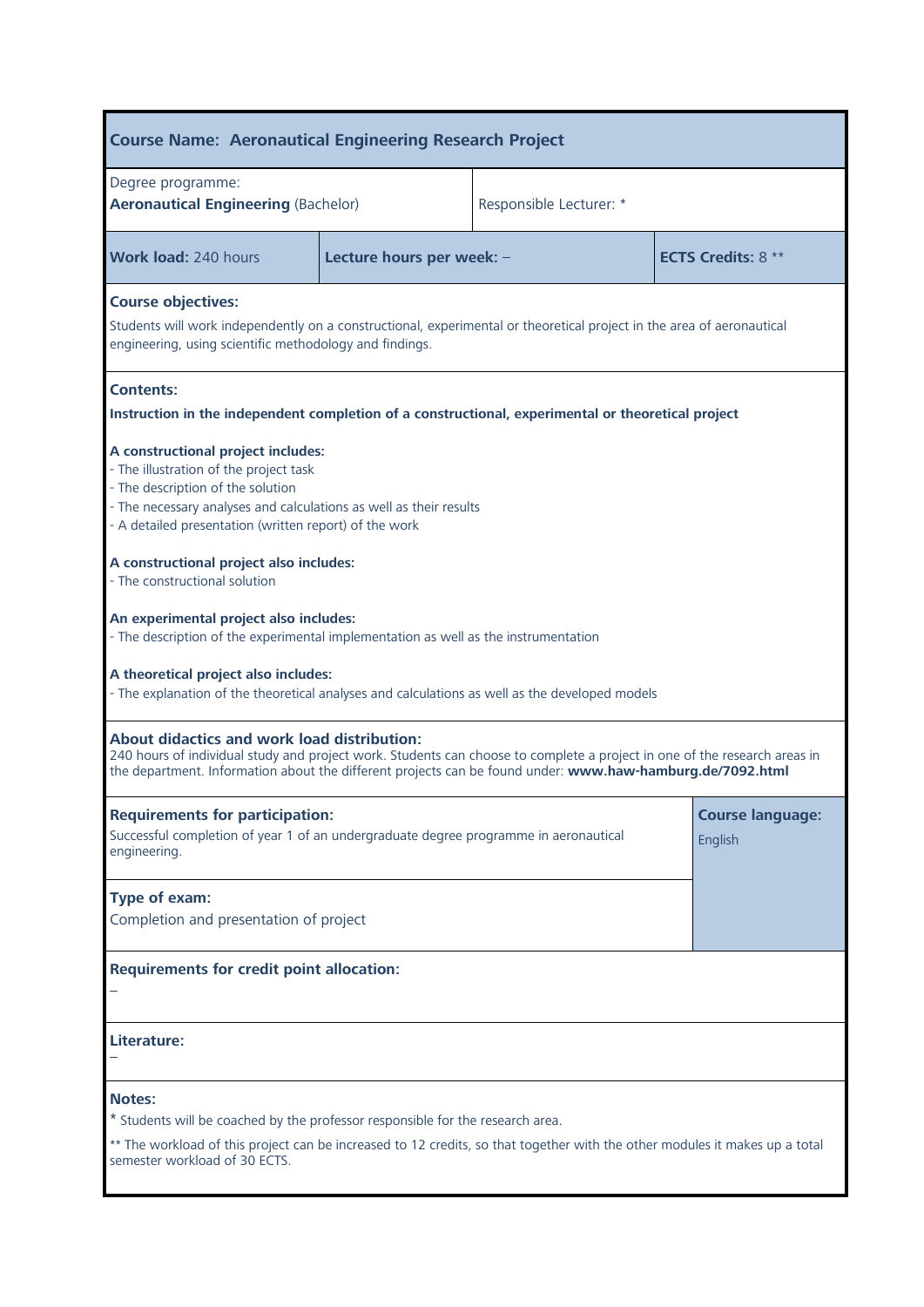| <b>Course Name: Aeronautical Engineering Research Project</b>                                                                                                                                                                                                                                |                                                                                                                                                                                  |                           |                                    |  |  |
|----------------------------------------------------------------------------------------------------------------------------------------------------------------------------------------------------------------------------------------------------------------------------------------------|----------------------------------------------------------------------------------------------------------------------------------------------------------------------------------|---------------------------|------------------------------------|--|--|
| Degree programme:<br><b>Aeronautical Engineering (Bachelor)</b>                                                                                                                                                                                                                              |                                                                                                                                                                                  | Responsible Lecturer: *   |                                    |  |  |
| <b>Work load: 240 hours</b>                                                                                                                                                                                                                                                                  | Lecture hours per week: -                                                                                                                                                        | <b>ECTS Credits: 8 **</b> |                                    |  |  |
| <b>Course objectives:</b>                                                                                                                                                                                                                                                                    | Students will work independently on a constructional, experimental or theoretical project in the area of aeronautical<br>engineering, using scientific methodology and findings. |                           |                                    |  |  |
| <b>Contents:</b><br>Instruction in the independent completion of a constructional, experimental or theoretical project                                                                                                                                                                       |                                                                                                                                                                                  |                           |                                    |  |  |
| - The illustration of the project task<br>- The description of the solution                                                                                                                                                                                                                  | A constructional project includes:<br>- The necessary analyses and calculations as well as their results<br>- A detailed presentation (written report) of the work               |                           |                                    |  |  |
| A constructional project also includes:<br>- The constructional solution                                                                                                                                                                                                                     |                                                                                                                                                                                  |                           |                                    |  |  |
| An experimental project also includes:<br>- The description of the experimental implementation as well as the instrumentation                                                                                                                                                                |                                                                                                                                                                                  |                           |                                    |  |  |
| A theoretical project also includes:<br>- The explanation of the theoretical analyses and calculations as well as the developed models                                                                                                                                                       |                                                                                                                                                                                  |                           |                                    |  |  |
| <b>About didactics and work load distribution:</b><br>240 hours of individual study and project work. Students can choose to complete a project in one of the research areas in<br>the department. Information about the different projects can be found under: www.haw-hamburg.de/7092.html |                                                                                                                                                                                  |                           |                                    |  |  |
| <b>Requirements for participation:</b><br>Successful completion of year 1 of an undergraduate degree programme in aeronautical<br>engineering.                                                                                                                                               |                                                                                                                                                                                  |                           | <b>Course language:</b><br>English |  |  |
| Type of exam:<br>Completion and presentation of project                                                                                                                                                                                                                                      |                                                                                                                                                                                  |                           |                                    |  |  |
| <b>Requirements for credit point allocation:</b>                                                                                                                                                                                                                                             |                                                                                                                                                                                  |                           |                                    |  |  |
| Literature:                                                                                                                                                                                                                                                                                  |                                                                                                                                                                                  |                           |                                    |  |  |
| <b>Notes:</b><br>* Students will be coached by the professor responsible for the research area.<br>** The workload of this project can be increased to 12 credits, so that together with the other modules it makes up a total<br>semester workload of 30 ECTS.                              |                                                                                                                                                                                  |                           |                                    |  |  |